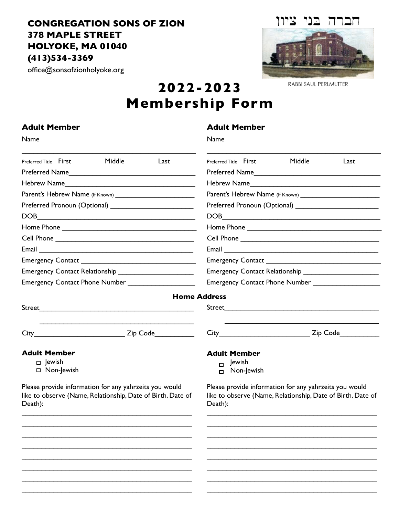## **CONGREGATION SONS OF ZION 378 MAPLE STREET HOLYOKE, MA 01040 (413)534-3369**

 $\overline{\mathcal{L}}$  , and the set of the set of the set of the set of the set of the set of the set of the set of the set of the set of the set of the set of the set of the set of the set of the set of the set of the set of the s  $\mathcal{L}_\text{max}$  , which is a set of the set of the set of the set of the set of the set of the set of the set of the set of the set of the set of the set of the set of the set of the set of the set of the set of the set of

office@sonsofzionholyoke.org



RABBI SAUL PERLMUTTER

\_\_\_\_\_\_\_\_\_\_\_\_\_\_\_\_\_\_\_\_\_\_\_\_\_\_\_\_\_\_\_\_\_\_\_\_\_\_\_\_\_\_\_  $\mathcal{L}_\text{max}$  , and the contract of the contract of the contract of the contract of the contract of the contract of the contract of the contract of the contract of the contract of the contract of the contract of the contr

## **2022-2023 Membership Form**

| <b>Adult Member</b>                                                                                                              | <b>Adult Member</b><br>Name                                                                                                      |  |  |
|----------------------------------------------------------------------------------------------------------------------------------|----------------------------------------------------------------------------------------------------------------------------------|--|--|
| Name                                                                                                                             |                                                                                                                                  |  |  |
| Middle<br>Preferred Title First<br>Last                                                                                          | Preferred Title First<br>Middle<br>Last                                                                                          |  |  |
|                                                                                                                                  |                                                                                                                                  |  |  |
| Hebrew Name                                                                                                                      | Hebrew Name                                                                                                                      |  |  |
|                                                                                                                                  |                                                                                                                                  |  |  |
|                                                                                                                                  |                                                                                                                                  |  |  |
|                                                                                                                                  |                                                                                                                                  |  |  |
|                                                                                                                                  |                                                                                                                                  |  |  |
|                                                                                                                                  |                                                                                                                                  |  |  |
|                                                                                                                                  |                                                                                                                                  |  |  |
|                                                                                                                                  |                                                                                                                                  |  |  |
| <b>Emergency Contact Relationship</b>                                                                                            | <b>Emergency Contact Relationship</b>                                                                                            |  |  |
| <b>Emergency Contact Phone Number</b>                                                                                            |                                                                                                                                  |  |  |
|                                                                                                                                  | <b>Home Address</b>                                                                                                              |  |  |
|                                                                                                                                  |                                                                                                                                  |  |  |
|                                                                                                                                  | City <b>City City City City Code</b>                                                                                             |  |  |
| <b>Adult Member</b>                                                                                                              | <b>Adult Member</b>                                                                                                              |  |  |
| p Jewish<br>$\Box$ Non-Jewish                                                                                                    | Jewish<br>$\Box$<br>$\Box$ Non-Jewish                                                                                            |  |  |
| Please provide information for any yahrzeits you would<br>like to observe (Name, Relationship, Date of Birth, Date of<br>Death): | Please provide information for any yahrzeits you would<br>like to observe (Name, Relationship, Date of Birth, Date of<br>Death): |  |  |
|                                                                                                                                  |                                                                                                                                  |  |  |